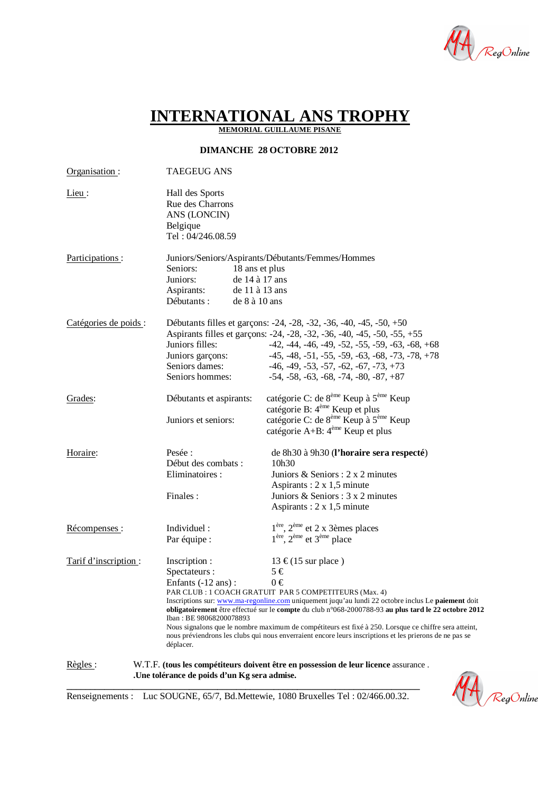

|<br>|RegOnline

# **INTERNATIONAL ANS TROPHY**

**MEMORIAL GUILLAUME PISANE**

**DIMANCHE 28 OCTOBRE 2012**

| Organisation:                                                                                                                                                     | <b>TAEGEUG ANS</b>                                                                           |                                                                                                                                                                                                                                                                                                                                                                                                                                                                                                                                             |
|-------------------------------------------------------------------------------------------------------------------------------------------------------------------|----------------------------------------------------------------------------------------------|---------------------------------------------------------------------------------------------------------------------------------------------------------------------------------------------------------------------------------------------------------------------------------------------------------------------------------------------------------------------------------------------------------------------------------------------------------------------------------------------------------------------------------------------|
| $Lieu$ :                                                                                                                                                          | Hall des Sports<br>Rue des Charrons<br>ANS (LONCIN)<br>Belgique<br>Tel: 04/246.08.59         |                                                                                                                                                                                                                                                                                                                                                                                                                                                                                                                                             |
| Participations:                                                                                                                                                   | Seniors:<br>Juniors:<br>Aspirants:<br>Débutants :                                            | Juniors/Seniors/Aspirants/Débutants/Femmes/Hommes<br>18 ans et plus<br>de 14 à 17 ans<br>de 11 à 13 ans<br>de 8 à 10 ans                                                                                                                                                                                                                                                                                                                                                                                                                    |
| Catégories de poids :                                                                                                                                             | Juniors filles:<br>Juniors garçons:<br>Seniors dames:<br>Seniors hommes:                     | Débutants filles et garçons: -24, -28, -32, -36, -40, -45, -50, +50<br>Aspirants filles et garçons: -24, -28, -32, -36, -40, -45, -50, -55, +55<br>$-42, -44, -46, -49, -52, -55, -59, -63, -68, +68$<br>$-45, -48, -51, -55, -59, -63, -68, -73, -78, +78$<br>$-46, -49, -53, -57, -62, -67, -73, +73$<br>$-54, -58, -63, -68, -74, -80, -87, +87$                                                                                                                                                                                         |
| Grades:                                                                                                                                                           | Débutants et aspirants:<br>Juniors et seniors:                                               | catégorie C: de 8 <sup>ème</sup> Keup à 5 <sup>ème</sup> Keup<br>catégorie B: 4 <sup>ème</sup> Keup et plus<br>catégorie C: de 8 <sup>ème</sup> Keup à 5 <sup>ème</sup> Keup<br>catégorie A+B: 4 <sup>ème</sup> Keup et plus                                                                                                                                                                                                                                                                                                                |
| Horaire:                                                                                                                                                          | Pesée :<br>Début des combats :<br>Eliminatoires :<br>Finales:                                | de 8h30 à 9h30 (l'horaire sera respecté)<br>10h30<br>Juniors & Seniors : $2 \times 2$ minutes<br>Aspirants : $2 \times 1,5$ minute<br>Juniors & Seniors : 3 x 2 minutes<br>Aspirants : $2 \times 1,5$ minute                                                                                                                                                                                                                                                                                                                                |
| Récompenses:                                                                                                                                                      | Individuel:<br>Par équipe :                                                                  | $1ère$ , $2ème$ et 2 x 3èmes places<br>1 <sup>ère</sup> , 2 <sup>ème</sup> et 3 <sup>ème</sup> place                                                                                                                                                                                                                                                                                                                                                                                                                                        |
| Tarif d'inscription :                                                                                                                                             | Inscription :<br>Spectateurs :<br>Enfants (-12 ans):<br>Iban: BE 98068200078893<br>déplacer. | 13 €(15 sur place)<br>$5 \in$<br>$0 \in$<br>PAR CLUB : 1 COACH GRATUIT PAR 5 COMPETITEURS (Max. 4)<br>Inscriptions sur: www.ma-regonline.com uniquement juqu'au lundi 22 octobre inclus Le <b>paiement</b> doit<br>obligatoirement être effectué sur le compte du club n°068-2000788-93 au plus tard le 22 octobre 2012<br>Nous signalons que le nombre maximum de compétiteurs est fixé à 250. Lorsque ce chiffre sera atteint,<br>nous préviendrons les clubs qui nous enverraient encore leurs inscriptions et les prierons de ne pas se |
| Règles :<br>W.T.F. (tous les compétiteurs doivent être en possession de leur licence assurance.<br>.Une tolérance de poids d'un Kg sera admise.<br>$\blacksquare$ |                                                                                              |                                                                                                                                                                                                                                                                                                                                                                                                                                                                                                                                             |

**\_\_\_\_\_\_\_\_\_\_\_\_\_\_\_\_\_\_\_\_\_\_\_\_\_\_\_\_\_\_\_\_\_\_\_\_\_\_\_\_\_\_\_\_\_\_\_\_\_\_\_\_\_\_\_\_\_\_\_\_\_\_\_\_\_\_\_\_\_\_\_\_\_\_\_** Renseignements : Luc SOUGNE, 65/7, Bd.Mettewie, 1080 Bruxelles Tel : 02/466.00.32.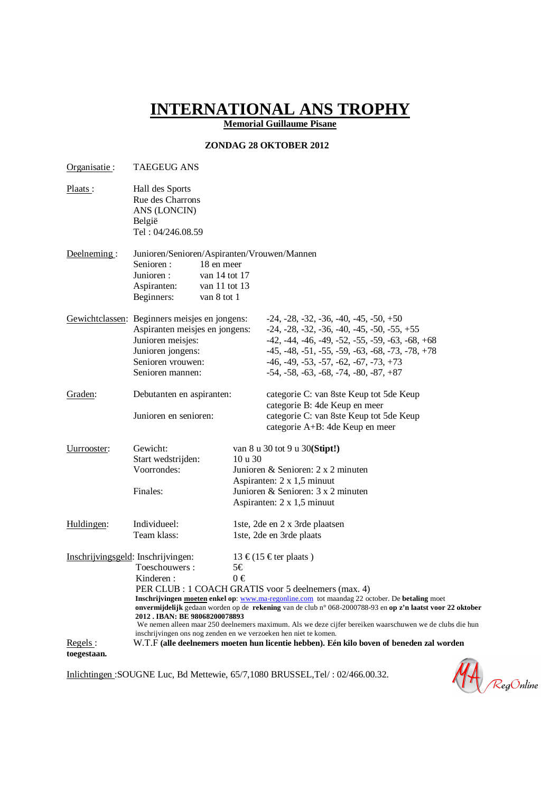## **INTERNATIONAL ANS TROPHY**

**Memorial Guillaume Pisane**

#### **ZONDAG 28 OKTOBER 2012**

| Organisatie:                       | <b>TAEGEUG ANS</b>                                                                                                                                                           |               |                                                                                                                                                                                                                                                                                               |  |  |
|------------------------------------|------------------------------------------------------------------------------------------------------------------------------------------------------------------------------|---------------|-----------------------------------------------------------------------------------------------------------------------------------------------------------------------------------------------------------------------------------------------------------------------------------------------|--|--|
| Plaats:                            | Hall des Sports<br>Rue des Charrons<br>ANS (LONCIN)<br>België<br>Tel: 04/246.08.59                                                                                           |               |                                                                                                                                                                                                                                                                                               |  |  |
|                                    |                                                                                                                                                                              |               |                                                                                                                                                                                                                                                                                               |  |  |
| Deelneming:                        | Junioren/Senioren/Aspiranten/Vrouwen/Mannen<br>Senioren:<br>18 en meer<br>Junioren:<br>van 14 tot 17<br>Aspiranten:<br>van 11 tot 13<br>Beginners:<br>van 8 tot 1            |               |                                                                                                                                                                                                                                                                                               |  |  |
|                                    | Gewichtclassen: Beginners meisjes en jongens:<br>Aspiranten meisjes en jongens:<br>Junioren meisjes:<br>Junioren jongens:<br>Senioren vrouwen:<br>Senioren mannen:           |               | $-24, -28, -32, -36, -40, -45, -50, +50$<br>$-24, -28, -32, -36, -40, -45, -50, -55, +55$<br>$-42, -44, -46, -49, -52, -55, -59, -63, -68, +68$<br>$-45, -48, -51, -55, -59, -63, -68, -73, -78, +78$<br>$-46, -49, -53, -57, -62, -67, -73, +73$<br>$-54, -58, -63, -68, -74, -80, -87, +87$ |  |  |
| Graden:                            | Debutanten en aspiranten:<br>Junioren en senioren:                                                                                                                           |               | categorie C: van 8ste Keup tot 5de Keup<br>categorie B: 4de Keup en meer<br>categorie C: van 8ste Keup tot 5de Keup<br>categorie A+B: 4de Keup en meer                                                                                                                                        |  |  |
| Uurrooster:                        | Gewicht:<br>Start wedstrijden:<br>Voorrondes:<br>Finales:                                                                                                                    | 10 u 30       | van 8 u 30 tot 9 u 30(Stipt!)<br>Junioren & Senioren: 2 x 2 minuten<br>Aspiranten: 2 x 1,5 minuut<br>Junioren & Senioren: 3 x 2 minuten<br>Aspiranten: $2 \times 1,5$ minuut                                                                                                                  |  |  |
| Huldingen:                         | Individueel:<br>Team klass:                                                                                                                                                  |               | 1ste, 2de en 2 x 3rde plaatsen<br>1ste, 2de en 3rde plaats                                                                                                                                                                                                                                    |  |  |
| Inschrijvingsgeld: Inschrijvingen: | Toeschouwers:<br>Kinderen:<br>2012. IBAN: BE 98068200078893                                                                                                                  | 5€<br>$0 \in$ | 13 €(15 € ter plaats)<br>PER CLUB : 1 COACH GRATIS voor 5 deelnemers (max. 4)<br>Inschrijvingen moeten enkel op: www.ma-regonline.com tot maandag 22 october. De betaling moet<br>onvermijdelijk gedaan worden op de rekening van de club n° 068-2000788-93 en op z'n laatst voor 22 oktober  |  |  |
|                                    | We nemen alleen maar 250 deelnemers maximum. Als we deze cijfer bereiken waarschuwen we de clubs die hun<br>inschrijvingen ons nog zenden en we verzoeken hen niet te komen. |               |                                                                                                                                                                                                                                                                                               |  |  |
| Regels:<br>toegestaan.             |                                                                                                                                                                              |               | W.T.F (alle deelnemers moeten hun licentie hebben). Eén kilo boven of beneden zal worden                                                                                                                                                                                                      |  |  |

Inlichtingen :SOUGNE Luc, Bd Mettewie, 65/7,1080 BRUSSEL,Tel/ : 02/466.00.32.

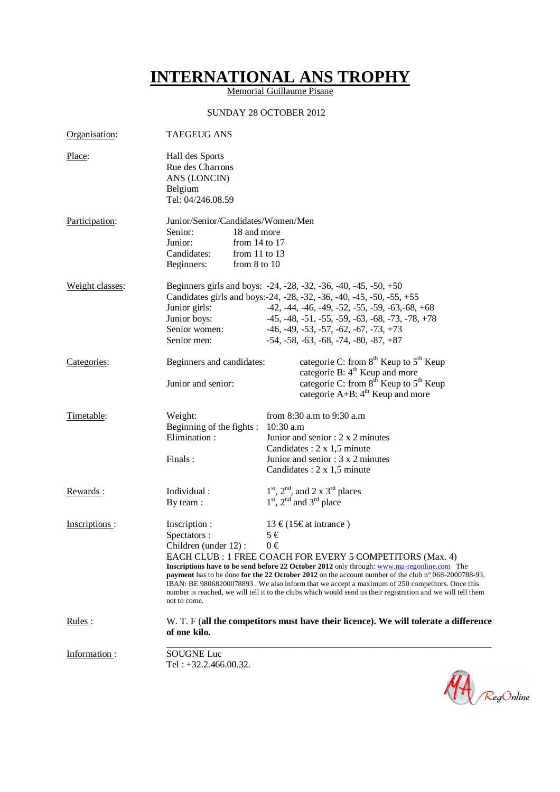## **INTERNATIONAL ANS TROPHY**

Memorial Guillaume Pisane

### SUNDAY 28 OCTOBER 2012

| Organisation:   | <b>TAEGEUG ANS</b>                                                                                                                                                                                                                                                                                                                                                                                                                                                                                                                                                                                               |                                                                                                                                                                                                                                                                                                                                                |  |  |
|-----------------|------------------------------------------------------------------------------------------------------------------------------------------------------------------------------------------------------------------------------------------------------------------------------------------------------------------------------------------------------------------------------------------------------------------------------------------------------------------------------------------------------------------------------------------------------------------------------------------------------------------|------------------------------------------------------------------------------------------------------------------------------------------------------------------------------------------------------------------------------------------------------------------------------------------------------------------------------------------------|--|--|
| Place:          | Hall des Sports<br>Rue des Charrons<br>ANS (LONCIN)<br>Belgium<br>Tel: 04/246.08.59                                                                                                                                                                                                                                                                                                                                                                                                                                                                                                                              |                                                                                                                                                                                                                                                                                                                                                |  |  |
| Participation:  | Junior/Senior/Candidates/Women/Men<br>Senior:<br>18 and more<br>Junior:<br>from $14$ to $17$<br>Candidates:<br>from $11$ to $13$<br>Beginners:<br>from $8$ to $10$                                                                                                                                                                                                                                                                                                                                                                                                                                               |                                                                                                                                                                                                                                                                                                                                                |  |  |
| Weight classes: | Junior girls:<br>Junior boys:<br>Senior women:<br>Senior men:                                                                                                                                                                                                                                                                                                                                                                                                                                                                                                                                                    | Beginners girls and boys: -24, -28, -32, -36, -40, -45, -50, +50<br>Candidates girls and boys: -24, -28, -32, -36, -40, -45, -50, -55, +55<br>$-42, -44, -46, -49, -52, -55, -59, -63, -68, +68$<br>$-45, -48, -51, -55, -59, -63, -68, -73, -78, +78$<br>$-46, -49, -53, -57, -62, -67, -73, +73$<br>$-54, -58, -63, -68, -74, -80, -87, +87$ |  |  |
| Categories:     | Beginners and candidates:<br>Junior and senior:                                                                                                                                                                                                                                                                                                                                                                                                                                                                                                                                                                  | categorie C: from $8th$ Keup to $5th$ Keup<br>categorie B: 4 <sup>th</sup> Keup and more<br>categorie C: from 8 <sup>th</sup> Keup to 5 <sup>th</sup> Keup<br>categorie $A+B$ : $4^{th}$ Keup and more                                                                                                                                         |  |  |
| Timetable:      | Weight:<br>Beginning of the fights :<br>Elimination:<br>Finals:                                                                                                                                                                                                                                                                                                                                                                                                                                                                                                                                                  | from 8:30 a.m to 9:30 a.m<br>10:30 a.m<br>Junior and senior : $2 \times 2$ minutes<br>Candidates : $2 \times 1,5$ minute<br>Junior and senior $: 3 \times 2$ minutes<br>Candidates : $2 \times 1,5$ minute                                                                                                                                     |  |  |
| Rewards:        | Individual:<br>By team:                                                                                                                                                                                                                                                                                                                                                                                                                                                                                                                                                                                          | $1st$ , $2nd$ , and $2 \times 3rd$ places<br>$1st$ , $2nd$ and $3rd$ place                                                                                                                                                                                                                                                                     |  |  |
| Inscriptions:   | Inscription :<br>13 €(15€at intrance)<br>Spectators :<br>$5 \in$<br>$0 \in$<br>Children (under 12):<br>EACH CLUB : 1 FREE COACH FOR EVERY 5 COMPETITORS (Max. 4)<br>Inscriptions have to be send before 22 October 2012 only through: www.ma-regonline.com The<br>payment has to be done for the 22 October 2012 on the account number of the club $n^{\circ}$ 068-2000788-93.<br>IBAN: BE 98068200078893. We also inform that we accept a maximum of 250 competitors. Once this<br>number is reached, we will tell it to the clubs which would send us their registration and we will tell them<br>not to come. |                                                                                                                                                                                                                                                                                                                                                |  |  |
| Rules:          | of one kilo.                                                                                                                                                                                                                                                                                                                                                                                                                                                                                                                                                                                                     | W. T. F (all the competitors must have their licence). We will tolerate a difference                                                                                                                                                                                                                                                           |  |  |
| Information:    | <b>SOUGNE Luc</b><br>Tel: $+32.2.466.00.32$ .                                                                                                                                                                                                                                                                                                                                                                                                                                                                                                                                                                    |                                                                                                                                                                                                                                                                                                                                                |  |  |